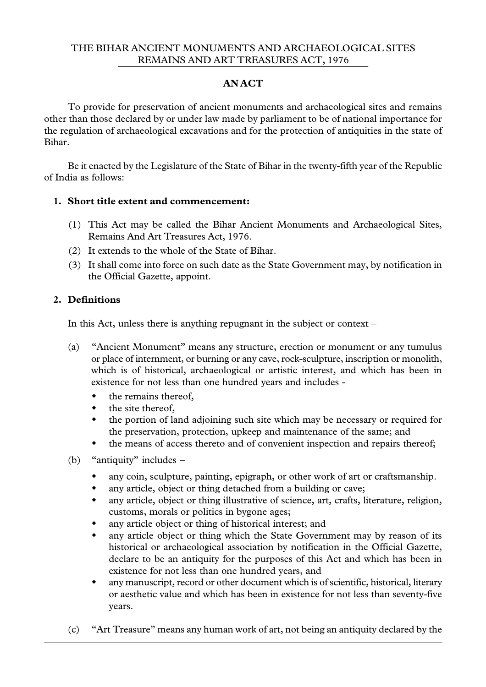#### THE BIHAR ANCIENT MONUMENTS AND ARCHAEOLOGICAL SITES REMAINS AND ART TREASURES ACT, 1976

### **AN ACT**

To provide for preservation of ancient monuments and archaeological sites and remains other than those declared by or under law made by parliament to be of national importance for the regulation of archaeological excavations and for the protection of antiquities in the state of Bihar.

Be it enacted by the Legislature of the State of Bihar in the twenty-fifth year of the Republic of India as follows:

#### **1. Short title extent and commencement:**

- (1) This Act may be called the Bihar Ancient Monuments and Archaeological Sites, Remains And Art Treasures Act, 1976.
- (2) It extends to the whole of the State of Bihar.
- (3) It shall come into force on such date as the State Government may, by notification in the Official Gazette, appoint.

# **2. Definitions**

In this Act, unless there is anything repugnant in the subject or context –

- (a) "Ancient Monument" means any structure, erection or monument or any tumulus or place of internment, or burning or any cave, rock-sculpture, inscription or monolith, which is of historical, archaeological or artistic interest, and which has been in existence for not less than one hundred years and includes
	- the remains thereof,
	- $\cdot$  the site thereof,
	- the portion of land adjoining such site which may be necessary or required for the preservation, protection, upkeep and maintenance of the same; and
	- $\bullet$  the means of access thereto and of convenient inspection and repairs thereof;
- (b) "antiquity" includes *–*
	- any coin, sculpture, painting, epigraph, or other work of art or craftsmanship.
	- any article, object or thing detached from a building or cave;
	- any article, object or thing illustrative of science, art, crafts, literature, religion, customs, morals or politics in bygone ages;
	- any article object or thing of historical interest; and
	- any article object or thing which the State Government may by reason of its historical or archaeological association by notification in the Official Gazette, declare to be an antiquity for the purposes of this Act and which has been in existence for not less than one hundred years, and
	- any manuscript, record or other document which is of scientific, historical, literary or aesthetic value and which has been in existence for not less than seventy-five years.
- (c) "Art Treasure" means any human work of art, not being an antiquity declared by the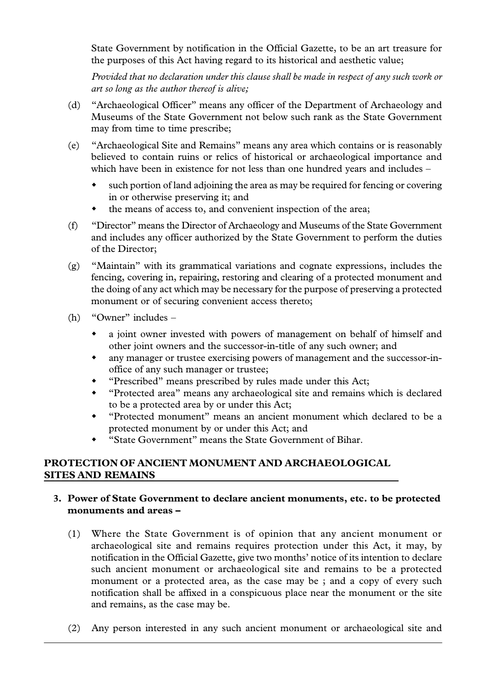State Government by notification in the Official Gazette, to be an art treasure for the purposes of this Act having regard to its historical and aesthetic value;

*Provided that no declaration under this clause shall be made in respect of any such work or art so long as the author thereof is alive;*

- (d) "Archaeological Officer" means any officer of the Department of Archaeology and Museums of the State Government not below such rank as the State Government may from time to time prescribe;
- (e) "Archaeological Site and Remains" means any area which contains or is reasonably believed to contain ruins or relics of historical or archaeological importance and which have been in existence for not less than one hundred years and includes –
	- such portion of land adjoining the area as may be required for fencing or covering in or otherwise preserving it; and
	- $\bullet$  the means of access to, and convenient inspection of the area;
- (f) "Director" means the Director of Archaeology and Museums of the State Government and includes any officer authorized by the State Government to perform the duties of the Director;
- (g) "Maintain" with its grammatical variations and cognate expressions, includes the fencing, covering in, repairing, restoring and clearing of a protected monument and the doing of any act which may be necessary for the purpose of preserving a protected monument or of securing convenient access thereto;
- (h) "Owner" includes
	- a joint owner invested with powers of management on behalf of himself and other joint owners and the successor-in-title of any such owner; and
	- \* any manager or trustee exercising powers of management and the successor-inoffice of any such manager or trustee;
	- "Prescribed" means prescribed by rules made under this Act;
	- "Protected area" means any archaeological site and remains which is declared to be a protected area by or under this Act;
	- w "Protected monument" means an ancient monument which declared to be a protected monument by or under this Act; and
	- w "State Government" means the State Government of Bihar.

# **PROTECTION OF ANCIENT MONUMENT AND ARCHAEOLOGICAL SITES AND REMAINS**

## **3. Power of State Government to declare ancient monuments, etc. to be protected monuments and areas** *–*

- (1) Where the State Government is of opinion that any ancient monument or archaeological site and remains requires protection under this Act, it may, by notification in the Official Gazette, give two months' notice of its intention to declare such ancient monument or archaeological site and remains to be a protected monument or a protected area, as the case may be ; and a copy of every such notification shall be affixed in a conspicuous place near the monument or the site and remains, as the case may be.
- (2) Any person interested in any such ancient monument or archaeological site and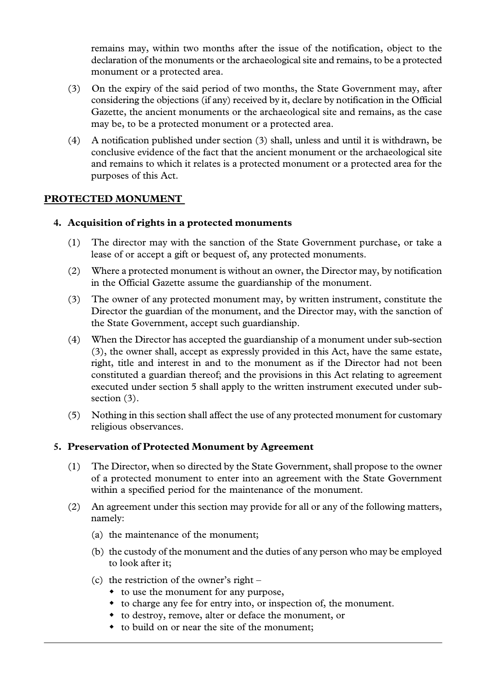remains may, within two months after the issue of the notification, object to the declaration of the monuments or the archaeological site and remains, to be a protected monument or a protected area.

- (3) On the expiry of the said period of two months, the State Government may, after considering the objections (if any) received by it, declare by notification in the Official Gazette, the ancient monuments or the archaeological site and remains, as the case may be, to be a protected monument or a protected area.
- (4) A notification published under section (3) shall, unless and until it is withdrawn, be conclusive evidence of the fact that the ancient monument or the archaeological site and remains to which it relates is a protected monument or a protected area for the purposes of this Act.

#### **PROTECTED MONUMENT**

#### **4. Acquisition of rights in a protected monuments**

- (1) The director may with the sanction of the State Government purchase, or take a lease of or accept a gift or bequest of, any protected monuments.
- (2) Where a protected monument is without an owner, the Director may, by notification in the Official Gazette assume the guardianship of the monument.
- (3) The owner of any protected monument may, by written instrument, constitute the Director the guardian of the monument, and the Director may, with the sanction of the State Government, accept such guardianship.
- (4) When the Director has accepted the guardianship of a monument under sub-section (3), the owner shall, accept as expressly provided in this Act, have the same estate, right, title and interest in and to the monument as if the Director had not been constituted a guardian thereof; and the provisions in this Act relating to agreement executed under section 5 shall apply to the written instrument executed under subsection (3).
- (5) Nothing in this section shall affect the use of any protected monument for customary religious observances.

#### **5. Preservation of Protected Monument by Agreement**

- (1) The Director, when so directed by the State Government, shall propose to the owner of a protected monument to enter into an agreement with the State Government within a specified period for the maintenance of the monument.
- (2) An agreement under this section may provide for all or any of the following matters, namely:
	- (a) the maintenance of the monument;
	- (b) the custody of the monument and the duties of any person who may be employed to look after it;
	- (c) the restriction of the owner's right
		- to use the monument for any purpose,
		- $\bullet$  to charge any fee for entry into, or inspection of, the monument.
		- to destroy, remove, alter or deface the monument, or
		- to build on or near the site of the monument;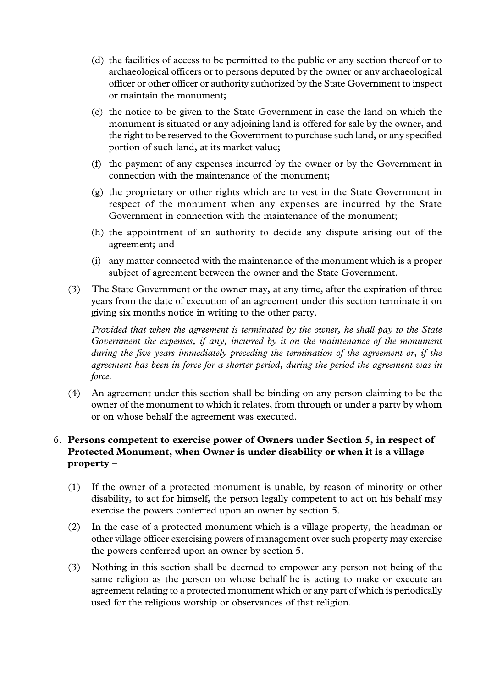- (d) the facilities of access to be permitted to the public or any section thereof or to archaeological officers or to persons deputed by the owner or any archaeological officer or other officer or authority authorized by the State Government to inspect or maintain the monument;
- (e) the notice to be given to the State Government in case the land on which the monument is situated or any adjoining land is offered for sale by the owner, and the right to be reserved to the Government to purchase such land, or any specified portion of such land, at its market value;
- (f) the payment of any expenses incurred by the owner or by the Government in connection with the maintenance of the monument;
- (g) the proprietary or other rights which are to vest in the State Government in respect of the monument when any expenses are incurred by the State Government in connection with the maintenance of the monument;
- (h) the appointment of an authority to decide any dispute arising out of the agreement; and
- (i) any matter connected with the maintenance of the monument which is a proper subject of agreement between the owner and the State Government.
- (3) The State Government or the owner may, at any time, after the expiration of three years from the date of execution of an agreement under this section terminate it on giving six months notice in writing to the other party.

*Provided that when the agreement is terminated by the owner, he shall pay to the State Government the expenses, if any, incurred by it on the maintenance of the monument during the five years immediately preceding the termination of the agreement or, if the agreement has been in force for a shorter period, during the period the agreement was in force.*

(4) An agreement under this section shall be binding on any person claiming to be the owner of the monument to which it relates, from through or under a party by whom or on whose behalf the agreement was executed.

# 6. **Persons competent to exercise power of Owners under Section 5, in respect of Protected Monument, when Owner is under disability or when it is a village property** –

- (1) If the owner of a protected monument is unable, by reason of minority or other disability, to act for himself, the person legally competent to act on his behalf may exercise the powers conferred upon an owner by section 5.
- (2) In the case of a protected monument which is a village property, the headman or other village officer exercising powers of management over such property may exercise the powers conferred upon an owner by section 5.
- (3) Nothing in this section shall be deemed to empower any person not being of the same religion as the person on whose behalf he is acting to make or execute an agreement relating to a protected monument which or any part of which is periodically used for the religious worship or observances of that religion.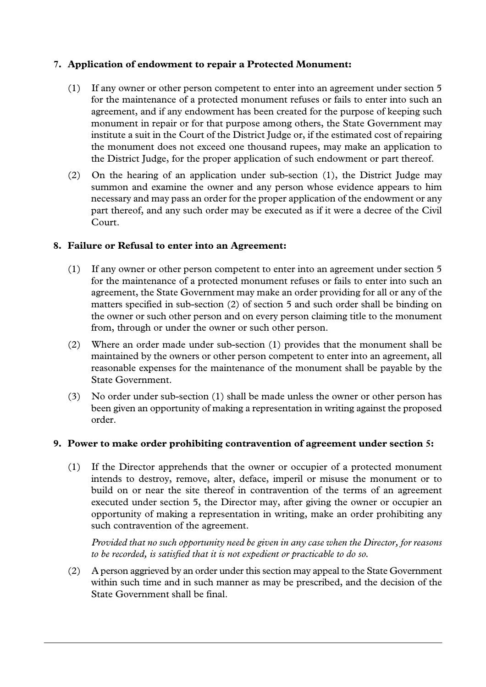## **7. Application of endowment to repair a Protected Monument:**

- (1) If any owner or other person competent to enter into an agreement under section 5 for the maintenance of a protected monument refuses or fails to enter into such an agreement, and if any endowment has been created for the purpose of keeping such monument in repair or for that purpose among others, the State Government may institute a suit in the Court of the District Judge or, if the estimated cost of repairing the monument does not exceed one thousand rupees, may make an application to the District Judge, for the proper application of such endowment or part thereof.
- (2) On the hearing of an application under sub-section (1), the District Judge may summon and examine the owner and any person whose evidence appears to him necessary and may pass an order for the proper application of the endowment or any part thereof, and any such order may be executed as if it were a decree of the Civil Court.

#### **8. Failure or Refusal to enter into an Agreement:**

- (1) If any owner or other person competent to enter into an agreement under section 5 for the maintenance of a protected monument refuses or fails to enter into such an agreement, the State Government may make an order providing for all or any of the matters specified in sub-section (2) of section 5 and such order shall be binding on the owner or such other person and on every person claiming title to the monument from, through or under the owner or such other person.
- (2) Where an order made under sub-section (1) provides that the monument shall be maintained by the owners or other person competent to enter into an agreement, all reasonable expenses for the maintenance of the monument shall be payable by the State Government.
- (3) No order under sub-section (1) shall be made unless the owner or other person has been given an opportunity of making a representation in writing against the proposed order.

#### **9. Power to make order prohibiting contravention of agreement under section 5:**

(1) If the Director apprehends that the owner or occupier of a protected monument intends to destroy, remove, alter, deface, imperil or misuse the monument or to build on or near the site thereof in contravention of the terms of an agreement executed under section 5, the Director may, after giving the owner or occupier an opportunity of making a representation in writing, make an order prohibiting any such contravention of the agreement.

*Provided that no such opportunity need be given in any case when the Director, for reasons to be recorded, is satisfied that it is not expedient or practicable to do so.*

(2) A person aggrieved by an order under this section may appeal to the State Government within such time and in such manner as may be prescribed, and the decision of the State Government shall be final.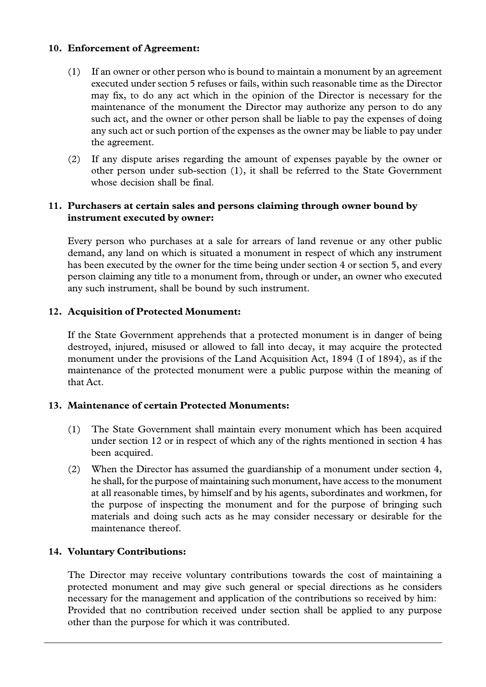#### **10. Enforcement of Agreement:**

- (1) If an owner or other person who is bound to maintain a monument by an agreement executed under section 5 refuses or fails, within such reasonable time as the Director may fix, to do any act which in the opinion of the Director is necessary for the maintenance of the monument the Director may authorize any person to do any such act, and the owner or other person shall be liable to pay the expenses of doing any such act or such portion of the expenses as the owner may be liable to pay under the agreement.
- (2) If any dispute arises regarding the amount of expenses payable by the owner or other person under sub-section (1), it shall be referred to the State Government whose decision shall be final.

#### **11. Purchasers at certain sales and persons claiming through owner bound by instrument executed by owner:**

Every person who purchases at a sale for arrears of land revenue or any other public demand, any land on which is situated a monument in respect of which any instrument has been executed by the owner for the time being under section 4 or section 5, and every person claiming any title to a monument from, through or under, an owner who executed any such instrument, shall be bound by such instrument.

#### **12. Acquisition of Protected Monument:**

If the State Government apprehends that a protected monument is in danger of being destroyed, injured, misused or allowed to fall into decay, it may acquire the protected monument under the provisions of the Land Acquisition Act, 1894 (I of 1894), as if the maintenance of the protected monument were a public purpose within the meaning of that Act.

#### **13. Maintenance of certain Protected Monuments:**

- (1) The State Government shall maintain every monument which has been acquired under section 12 or in respect of which any of the rights mentioned in section 4 has been acquired.
- (2) When the Director has assumed the guardianship of a monument under section  $4$ , he shall, for the purpose of maintaining such monument, have access to the monument at all reasonable times, by himself and by his agents, subordinates and workmen, for the purpose of inspecting the monument and for the purpose of bringing such materials and doing such acts as he may consider necessary or desirable for the maintenance thereof.

#### **14. Voluntary Contributions:**

The Director may receive voluntary contributions towards the cost of maintaining a protected monument and may give such general or special directions as he considers necessary for the management and application of the contributions so received by him: Provided that no contribution received under section shall be applied to any purpose other than the purpose for which it was contributed.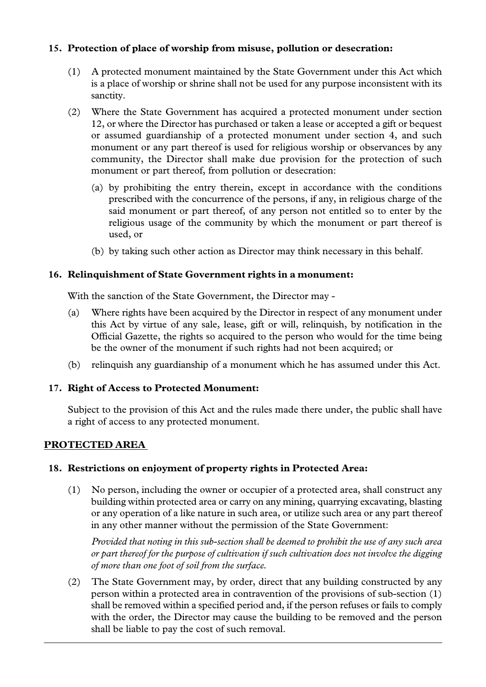## **15. Protection of place of worship from misuse, pollution or desecration:**

- (1) A protected monument maintained by the State Government under this Act which is a place of worship or shrine shall not be used for any purpose inconsistent with its sanctity.
- (2) Where the State Government has acquired a protected monument under section 12, or where the Director has purchased or taken a lease or accepted a gift or bequest or assumed guardianship of a protected monument under section 4, and such monument or any part thereof is used for religious worship or observances by any community, the Director shall make due provision for the protection of such monument or part thereof, from pollution or desecration:
	- (a) by prohibiting the entry therein, except in accordance with the conditions prescribed with the concurrence of the persons, if any, in religious charge of the said monument or part thereof, of any person not entitled so to enter by the religious usage of the community by which the monument or part thereof is used, or
	- (b) by taking such other action as Director may think necessary in this behalf.

## **16. Relinquishment of State Government rights in a monument:**

With the sanction of the State Government, the Director may -

- (a) Where rights have been acquired by the Director in respect of any monument under this Act by virtue of any sale, lease, gift or will, relinquish, by notification in the Official Gazette, the rights so acquired to the person who would for the time being be the owner of the monument if such rights had not been acquired; or
- (b) relinquish any guardianship of a monument which he has assumed under this Act.

# **17. Right of Access to Protected Monument:**

Subject to the provision of this Act and the rules made there under, the public shall have a right of access to any protected monument.

# **PROTECTED AREA**

#### **18. Restrictions on enjoyment of property rights in Protected Area:**

(1) No person, including the owner or occupier of a protected area, shall construct any building within protected area or carry on any mining, quarrying excavating, blasting or any operation of a like nature in such area, or utilize such area or any part thereof in any other manner without the permission of the State Government:

*Provided that noting in this sub-section shall be deemed to prohibit the use of any such area or part thereof for the purpose of cultivation if such cultivation does not involve the digging of more than one foot of soil from the surface.*

(2) The State Government may, by order, direct that any building constructed by any person within a protected area in contravention of the provisions of sub-section (1) shall be removed within a specified period and, if the person refuses or fails to comply with the order, the Director may cause the building to be removed and the person shall be liable to pay the cost of such removal.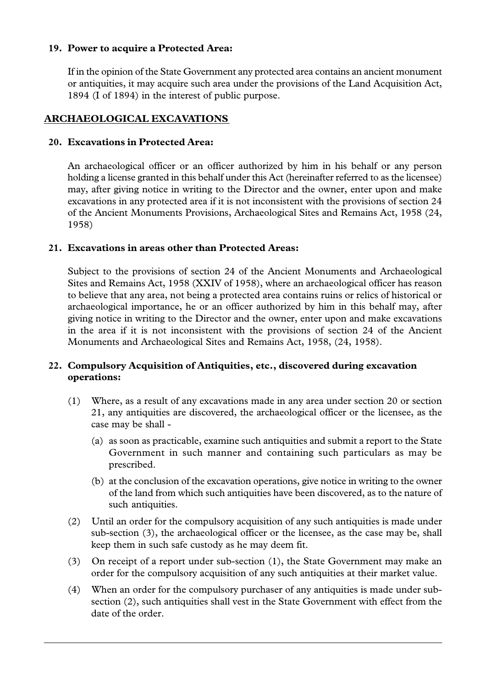### **19. Power to acquire a Protected Area:**

If in the opinion of the State Government any protected area contains an ancient monument or antiquities, it may acquire such area under the provisions of the Land Acquisition Act, 1894 (I of 1894) in the interest of public purpose.

# **ARCHAEOLOGICAL EXCAVATIONS**

## **20. Excavations in Protected Area:**

An archaeological officer or an officer authorized by him in his behalf or any person holding a license granted in this behalf under this Act (hereinafter referred to as the licensee) may, after giving notice in writing to the Director and the owner, enter upon and make excavations in any protected area if it is not inconsistent with the provisions of section 24 of the Ancient Monuments Provisions, Archaeological Sites and Remains Act, 1958 (24, 1958)

## **21. Excavations in areas other than Protected Areas:**

Subject to the provisions of section 24 of the Ancient Monuments and Archaeological Sites and Remains Act, 1958 (XXIV of 1958), where an archaeological officer has reason to believe that any area, not being a protected area contains ruins or relics of historical or archaeological importance, he or an officer authorized by him in this behalf may, after giving notice in writing to the Director and the owner, enter upon and make excavations in the area if it is not inconsistent with the provisions of section 24 of the Ancient Monuments and Archaeological Sites and Remains Act, 1958, (24, 1958).

# **22. Compulsory Acquisition of Antiquities, etc., discovered during excavation operations:**

- (1) Where, as a result of any excavations made in any area under section 20 or section 21, any antiquities are discovered, the archaeological officer or the licensee, as the case may be shall -
	- (a) as soon as practicable, examine such antiquities and submit a report to the State Government in such manner and containing such particulars as may be prescribed.
	- (b) at the conclusion of the excavation operations, give notice in writing to the owner of the land from which such antiquities have been discovered, as to the nature of such antiquities.
- (2) Until an order for the compulsory acquisition of any such antiquities is made under sub-section (3), the archaeological officer or the licensee, as the case may be, shall keep them in such safe custody as he may deem fit.
- (3) On receipt of a report under sub-section (1), the State Government may make an order for the compulsory acquisition of any such antiquities at their market value.
- (4) When an order for the compulsory purchaser of any antiquities is made under subsection (2), such antiquities shall vest in the State Government with effect from the date of the order.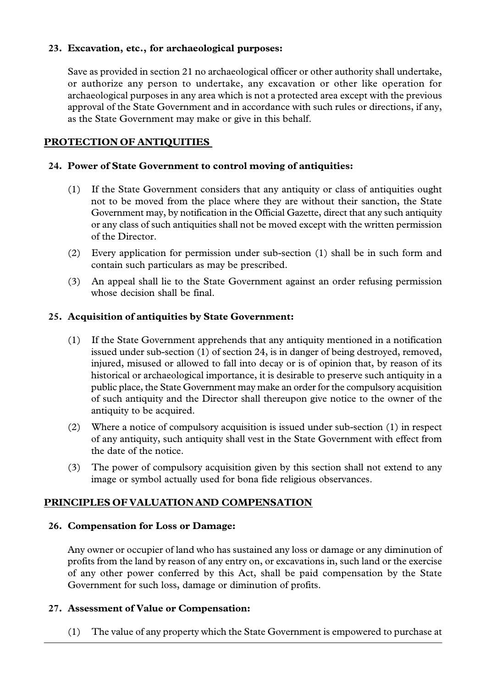### **23. Excavation, etc., for archaeological purposes:**

Save as provided in section 21 no archaeological officer or other authority shall undertake, or authorize any person to undertake, any excavation or other like operation for archaeological purposes in any area which is not a protected area except with the previous approval of the State Government and in accordance with such rules or directions, if any, as the State Government may make or give in this behalf.

# **PROTECTION OF ANTIQUITIES**

### **24. Power of State Government to control moving of antiquities:**

- (1) If the State Government considers that any antiquity or class of antiquities ought not to be moved from the place where they are without their sanction, the State Government may, by notification in the Official Gazette, direct that any such antiquity or any class of such antiquities shall not be moved except with the written permission of the Director.
- (2) Every application for permission under sub-section (1) shall be in such form and contain such particulars as may be prescribed.
- (3) An appeal shall lie to the State Government against an order refusing permission whose decision shall be final.

#### **25. Acquisition of antiquities by State Government:**

- (1) If the State Government apprehends that any antiquity mentioned in a notification issued under sub-section (1) of section 24, is in danger of being destroyed, removed, injured, misused or allowed to fall into decay or is of opinion that, by reason of its historical or archaeological importance, it is desirable to preserve such antiquity in a public place, the State Government may make an order for the compulsory acquisition of such antiquity and the Director shall thereupon give notice to the owner of the antiquity to be acquired.
- (2) Where a notice of compulsory acquisition is issued under sub-section (1) in respect of any antiquity, such antiquity shall vest in the State Government with effect from the date of the notice.
- (3) The power of compulsory acquisition given by this section shall not extend to any image or symbol actually used for bona fide religious observances.

# **PRINCIPLES OF VALUATION AND COMPENSATION**

#### **26. Compensation for Loss or Damage:**

Any owner or occupier of land who has sustained any loss or damage or any diminution of profits from the land by reason of any entry on, or excavations in, such land or the exercise of any other power conferred by this Act, shall be paid compensation by the State Government for such loss, damage or diminution of profits.

#### **27. Assessment of Value or Compensation:**

(1) The value of any property which the State Government is empowered to purchase at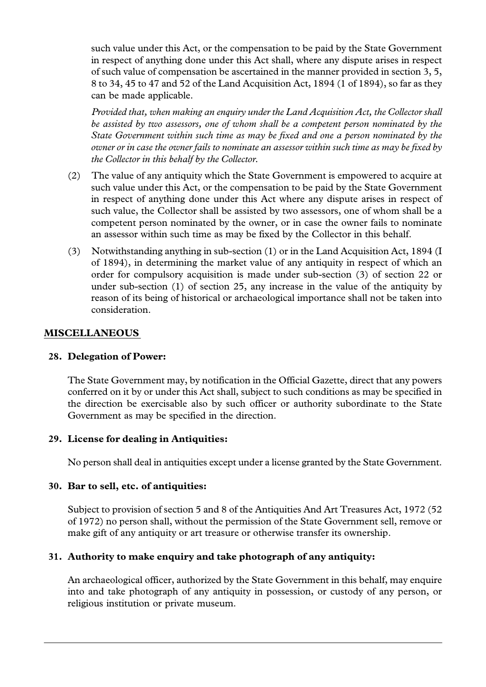such value under this Act, or the compensation to be paid by the State Government in respect of anything done under this Act shall, where any dispute arises in respect of such value of compensation be ascertained in the manner provided in section 3, 5, 8 to 34, 45 to 47 and 52 of the Land Acquisition Act, 1894 (1 of 1894), so far as they can be made applicable.

*Provided that, when making an enquiry under the Land Acquisition Act, the Collector shall be assisted by two assessors, one of whom shall be a competent person nominated by the State Government within such time as may be fixed and one a person nominated by the owner or in case the owner fails to nominate an assessor within such time as may be fixed by the Collector in this behalf by the Collector.*

- (2) The value of any antiquity which the State Government is empowered to acquire at such value under this Act, or the compensation to be paid by the State Government in respect of anything done under this Act where any dispute arises in respect of such value, the Collector shall be assisted by two assessors, one of whom shall be a competent person nominated by the owner, or in case the owner fails to nominate an assessor within such time as may be fixed by the Collector in this behalf.
- (3) Notwithstanding anything in sub-section (1) or in the Land Acquisition Act, 1894 (I of 1894), in determining the market value of any antiquity in respect of which an order for compulsory acquisition is made under sub-section (3) of section 22 or under sub-section (1) of section 25, any increase in the value of the antiquity by reason of its being of historical or archaeological importance shall not be taken into consideration.

## **MISCELLANEOUS**

#### **28. Delegation of Power:**

The State Government may, by notification in the Official Gazette, direct that any powers conferred on it by or under this Act shall, subject to such conditions as may be specified in the direction be exercisable also by such officer or authority subordinate to the State Government as may be specified in the direction.

#### **29. License for dealing in Antiquities:**

No person shall deal in antiquities except under a license granted by the State Government.

#### **30. Bar to sell, etc. of antiquities:**

Subject to provision of section 5 and 8 of the Antiquities And Art Treasures Act, 1972 (52 of 1972) no person shall, without the permission of the State Government sell, remove or make gift of any antiquity or art treasure or otherwise transfer its ownership.

#### **31. Authority to make enquiry and take photograph of any antiquity:**

An archaeological officer, authorized by the State Government in this behalf, may enquire into and take photograph of any antiquity in possession, or custody of any person, or religious institution or private museum.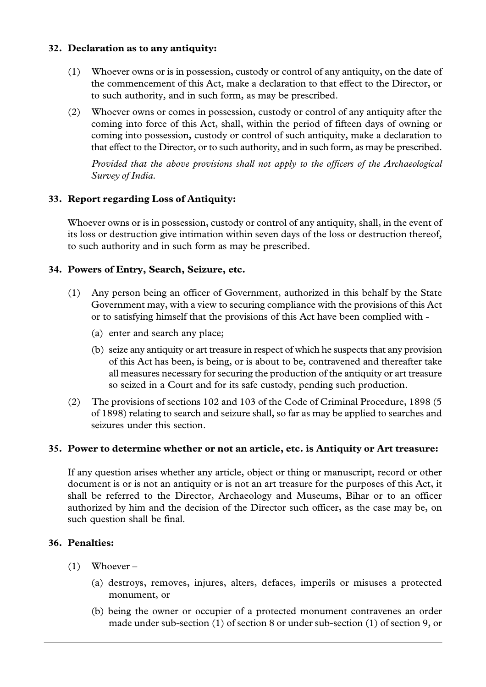### **32. Declaration as to any antiquity:**

- (1) Whoever owns or is in possession, custody or control of any antiquity, on the date of the commencement of this Act, make a declaration to that effect to the Director, or to such authority, and in such form, as may be prescribed.
- (2) Whoever owns or comes in possession, custody or control of any antiquity after the coming into force of this Act, shall, within the period of fifteen days of owning or coming into possession, custody or control of such antiquity, make a declaration to that effect to the Director, or to such authority, and in such form, as may be prescribed.

*Provided that the above provisions shall not apply to the officers of the Archaeological Survey of India.*

## **33. Report regarding Loss of Antiquity:**

Whoever owns or is in possession, custody or control of any antiquity, shall, in the event of its loss or destruction give intimation within seven days of the loss or destruction thereof, to such authority and in such form as may be prescribed.

## **34. Powers of Entry, Search, Seizure, etc.**

- (1) Any person being an officer of Government, authorized in this behalf by the State Government may, with a view to securing compliance with the provisions of this Act or to satisfying himself that the provisions of this Act have been complied with -
	- (a) enter and search any place;
	- (b) seize any antiquity or art treasure in respect of which he suspects that any provision of this Act has been, is being, or is about to be, contravened and thereafter take all measures necessary for securing the production of the antiquity or art treasure so seized in a Court and for its safe custody, pending such production.
- (2) The provisions of sections 102 and 103 of the Code of Criminal Procedure, 1898 (5 of 1898) relating to search and seizure shall, so far as may be applied to searches and seizures under this section.

#### **35. Power to determine whether or not an article, etc. is Antiquity or Art treasure:**

If any question arises whether any article, object or thing or manuscript, record or other document is or is not an antiquity or is not an art treasure for the purposes of this Act, it shall be referred to the Director, Archaeology and Museums, Bihar or to an officer authorized by him and the decision of the Director such officer, as the case may be, on such question shall be final.

#### **36. Penalties:**

- (1) Whoever
	- (a) destroys, removes, injures, alters, defaces, imperils or misuses a protected monument, or
	- (b) being the owner or occupier of a protected monument contravenes an order made under sub-section (1) of section 8 or under sub-section (1) of section 9, or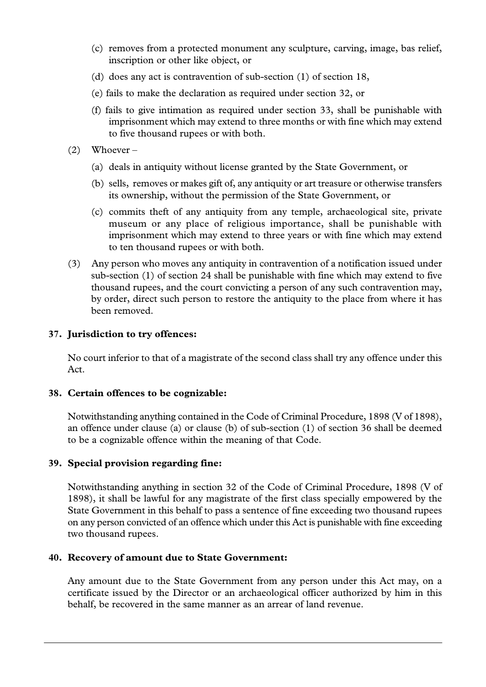- (c) removes from a protected monument any sculpture, carving, image, bas relief, inscription or other like object, or
- (d) does any act is contravention of sub-section (1) of section 18,
- (e) fails to make the declaration as required under section 32, or
- (f) fails to give intimation as required under section 33, shall be punishable with imprisonment which may extend to three months or with fine which may extend to five thousand rupees or with both.
- $(2)$  Whoever
	- (a) deals in antiquity without license granted by the State Government, or
	- (b) sells, removes or makes gift of, any antiquity or art treasure or otherwise transfers its ownership, without the permission of the State Government, or
	- (c) commits theft of any antiquity from any temple, archaeological site, private museum or any place of religious importance, shall be punishable with imprisonment which may extend to three years or with fine which may extend to ten thousand rupees or with both.
- (3) Any person who moves any antiquity in contravention of a notification issued under sub-section (1) of section 24 shall be punishable with fine which may extend to five thousand rupees, and the court convicting a person of any such contravention may, by order, direct such person to restore the antiquity to the place from where it has been removed.

#### **37. Jurisdiction to try offences:**

No court inferior to that of a magistrate of the second class shall try any offence under this Act.

#### **38. Certain offences to be cognizable:**

Notwithstanding anything contained in the Code of Criminal Procedure, 1898 (V of 1898), an offence under clause (a) or clause (b) of sub-section (1) of section 36 shall be deemed to be a cognizable offence within the meaning of that Code.

#### **39. Special provision regarding fine:**

Notwithstanding anything in section 32 of the Code of Criminal Procedure, 1898 (V of 1898), it shall be lawful for any magistrate of the first class specially empowered by the State Government in this behalf to pass a sentence of fine exceeding two thousand rupees on any person convicted of an offence which under this Act is punishable with fine exceeding two thousand rupees.

#### **40. Recovery of amount due to State Government:**

Any amount due to the State Government from any person under this Act may, on a certificate issued by the Director or an archaeological officer authorized by him in this behalf, be recovered in the same manner as an arrear of land revenue.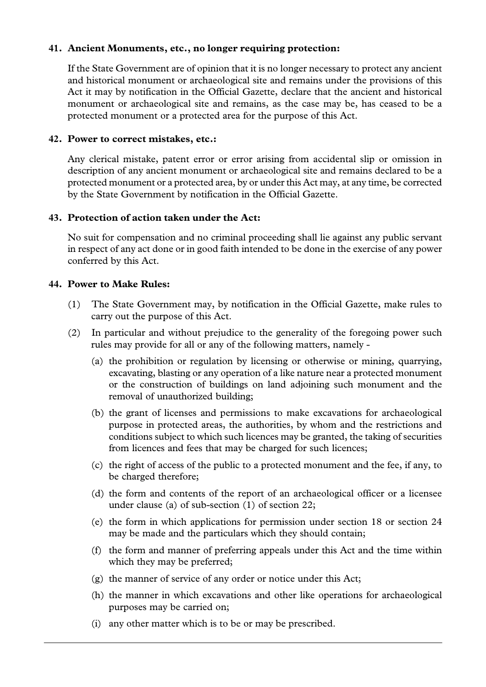#### **41. Ancient Monuments, etc., no longer requiring protection:**

If the State Government are of opinion that it is no longer necessary to protect any ancient and historical monument or archaeological site and remains under the provisions of this Act it may by notification in the Official Gazette, declare that the ancient and historical monument or archaeological site and remains, as the case may be, has ceased to be a protected monument or a protected area for the purpose of this Act.

#### **42. Power to correct mistakes, etc.:**

Any clerical mistake, patent error or error arising from accidental slip or omission in description of any ancient monument or archaeological site and remains declared to be a protected monument or a protected area, by or under this Act may, at any time, be corrected by the State Government by notification in the Official Gazette.

#### **43. Protection of action taken under the Act:**

No suit for compensation and no criminal proceeding shall lie against any public servant in respect of any act done or in good faith intended to be done in the exercise of any power conferred by this Act.

#### **44. Power to Make Rules:**

- (1) The State Government may, by notification in the Official Gazette, make rules to carry out the purpose of this Act.
- (2) In particular and without prejudice to the generality of the foregoing power such rules may provide for all or any of the following matters, namely -
	- (a) the prohibition or regulation by licensing or otherwise or mining, quarrying, excavating, blasting or any operation of a like nature near a protected monument or the construction of buildings on land adjoining such monument and the removal of unauthorized building;
	- (b) the grant of licenses and permissions to make excavations for archaeological purpose in protected areas, the authorities, by whom and the restrictions and conditions subject to which such licences may be granted, the taking of securities from licences and fees that may be charged for such licences;
	- (c) the right of access of the public to a protected monument and the fee, if any, to be charged therefore;
	- (d) the form and contents of the report of an archaeological officer or a licensee under clause (a) of sub-section (1) of section 22;
	- (e) the form in which applications for permission under section 18 or section 24 may be made and the particulars which they should contain;
	- (f) the form and manner of preferring appeals under this Act and the time within which they may be preferred;
	- (g) the manner of service of any order or notice under this Act;
	- (h) the manner in which excavations and other like operations for archaeological purposes may be carried on;
	- (i) any other matter which is to be or may be prescribed.